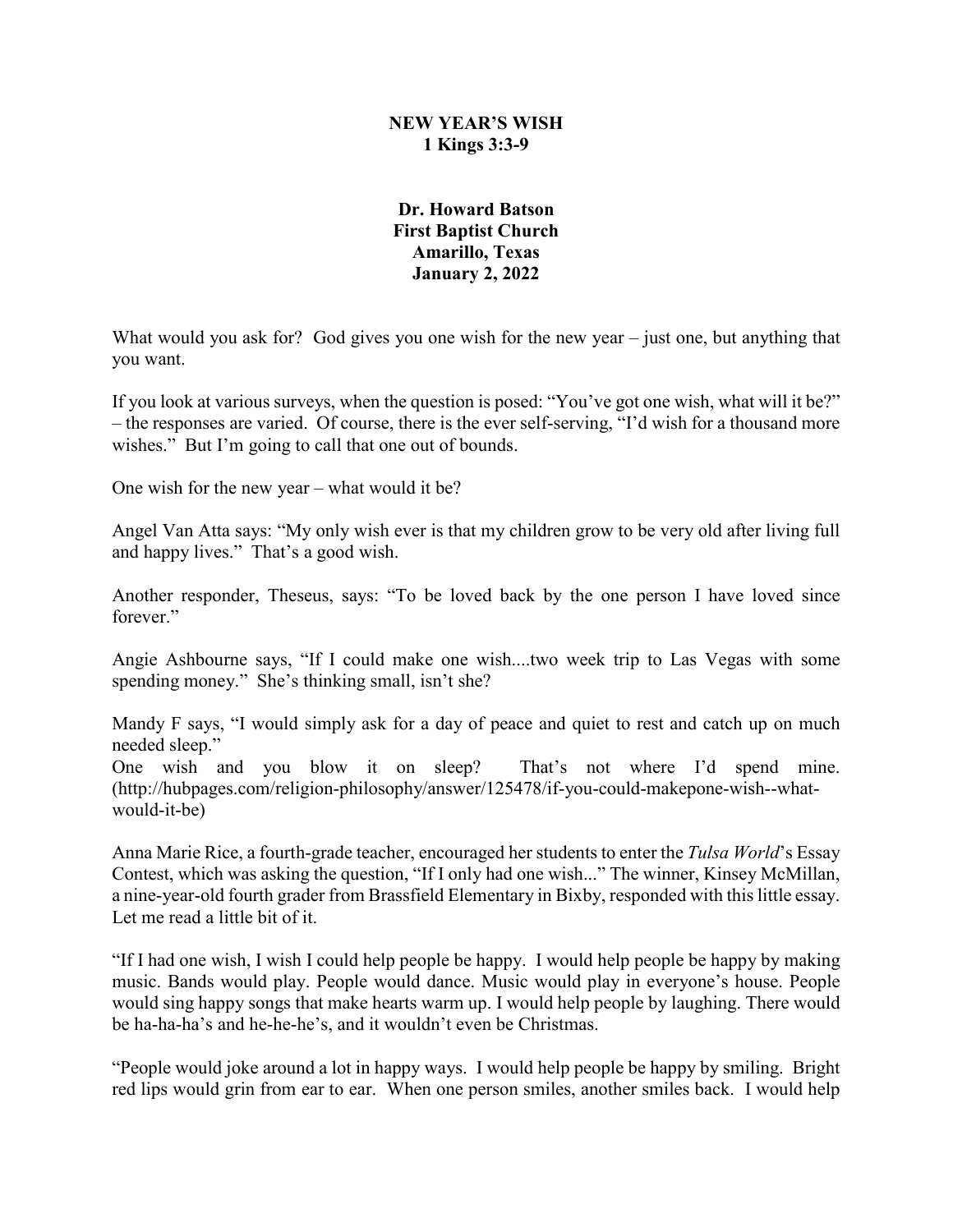## **NEW YEAR'S WISH 1 Kings 3:3-9**

## **Dr. Howard Batson First Baptist Church Amarillo, Texas January 2, 2022**

What would you ask for? God gives you one wish for the new year – just one, but anything that you want.

If you look at various surveys, when the question is posed: "You've got one wish, what will it be?" – the responses are varied. Of course, there is the ever self-serving, "I'd wish for a thousand more wishes." But I'm going to call that one out of bounds.

One wish for the new year – what would it be?

Angel Van Atta says: "My only wish ever is that my children grow to be very old after living full and happy lives." That's a good wish.

Another responder, Theseus, says: "To be loved back by the one person I have loved since forever."

Angie Ashbourne says, "If I could make one wish....two week trip to Las Vegas with some spending money." She's thinking small, isn't she?

Mandy F says, "I would simply ask for a day of peace and quiet to rest and catch up on much needed sleep."

One wish and you blow it on sleep? That's not where I'd spend mine. (http://hubpages.com/religion-philosophy/answer/125478/if-you-could-makepone-wish--whatwould-it-be)

Anna Marie Rice, a fourth-grade teacher, encouraged her students to enter the *Tulsa World*'s Essay Contest, which was asking the question, "If I only had one wish..." The winner, Kinsey McMillan, a nine-year-old fourth grader from Brassfield Elementary in Bixby, responded with this little essay. Let me read a little bit of it.

"If I had one wish, I wish I could help people be happy. I would help people be happy by making music. Bands would play. People would dance. Music would play in everyone's house. People would sing happy songs that make hearts warm up. I would help people by laughing. There would be ha-ha-ha's and he-he-he's, and it wouldn't even be Christmas.

"People would joke around a lot in happy ways. I would help people be happy by smiling. Bright red lips would grin from ear to ear. When one person smiles, another smiles back. I would help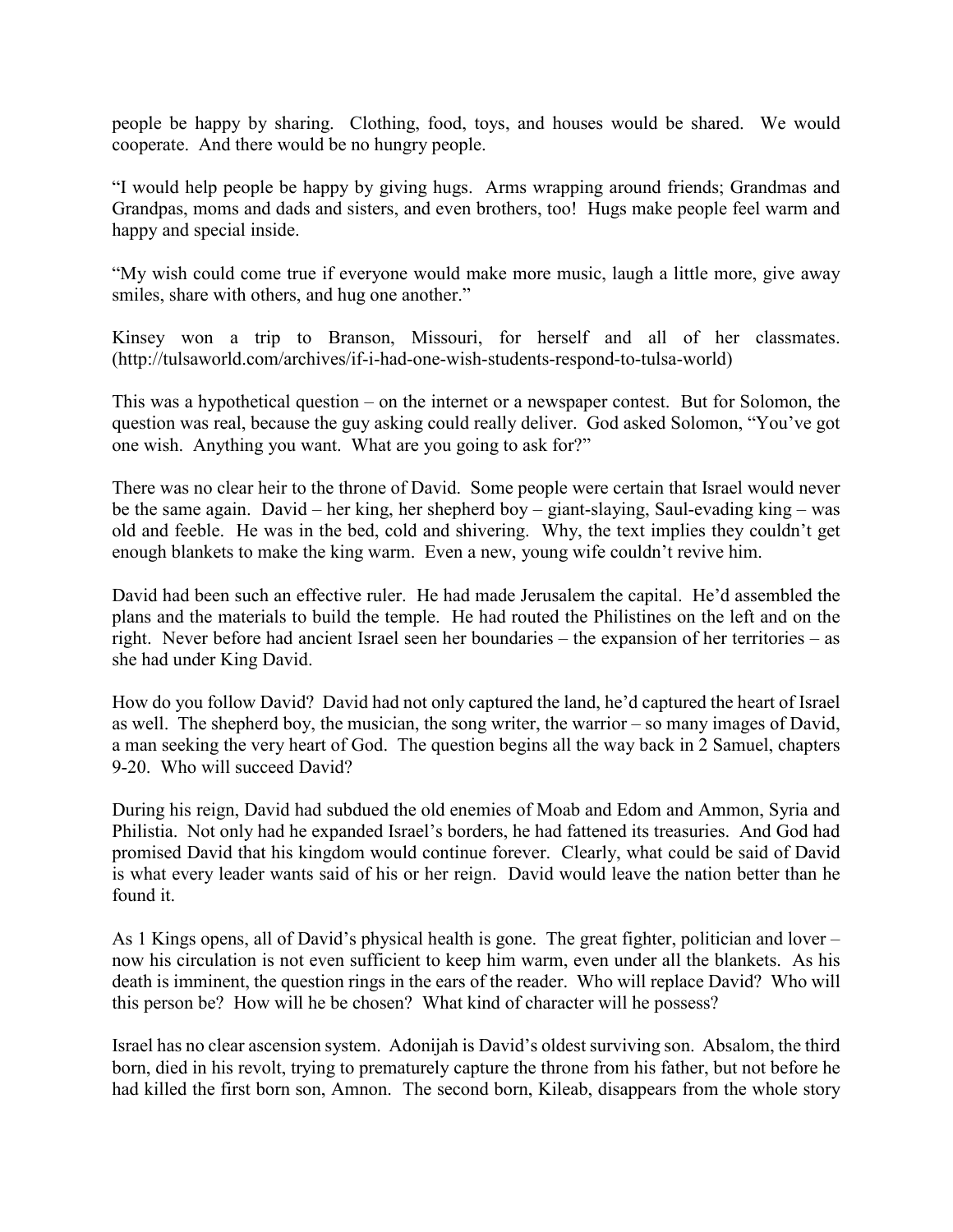people be happy by sharing. Clothing, food, toys, and houses would be shared. We would cooperate. And there would be no hungry people.

"I would help people be happy by giving hugs. Arms wrapping around friends; Grandmas and Grandpas, moms and dads and sisters, and even brothers, too! Hugs make people feel warm and happy and special inside.

"My wish could come true if everyone would make more music, laugh a little more, give away smiles, share with others, and hug one another."

Kinsey won a trip to Branson, Missouri, for herself and all of her classmates. (http://tulsaworld.com/archives/if-i-had-one-wish-students-respond-to-tulsa-world)

This was a hypothetical question – on the internet or a newspaper contest. But for Solomon, the question was real, because the guy asking could really deliver. God asked Solomon, "You've got one wish. Anything you want. What are you going to ask for?"

There was no clear heir to the throne of David. Some people were certain that Israel would never be the same again. David – her king, her shepherd boy – giant-slaying, Saul-evading king – was old and feeble. He was in the bed, cold and shivering. Why, the text implies they couldn't get enough blankets to make the king warm. Even a new, young wife couldn't revive him.

David had been such an effective ruler. He had made Jerusalem the capital. He'd assembled the plans and the materials to build the temple. He had routed the Philistines on the left and on the right. Never before had ancient Israel seen her boundaries – the expansion of her territories – as she had under King David.

How do you follow David? David had not only captured the land, he'd captured the heart of Israel as well. The shepherd boy, the musician, the song writer, the warrior – so many images of David, a man seeking the very heart of God. The question begins all the way back in 2 Samuel, chapters 9-20. Who will succeed David?

During his reign, David had subdued the old enemies of Moab and Edom and Ammon, Syria and Philistia. Not only had he expanded Israel's borders, he had fattened its treasuries. And God had promised David that his kingdom would continue forever. Clearly, what could be said of David is what every leader wants said of his or her reign. David would leave the nation better than he found it.

As 1 Kings opens, all of David's physical health is gone. The great fighter, politician and lover – now his circulation is not even sufficient to keep him warm, even under all the blankets. As his death is imminent, the question rings in the ears of the reader. Who will replace David? Who will this person be? How will he be chosen? What kind of character will he possess?

Israel has no clear ascension system. Adonijah is David's oldest surviving son. Absalom, the third born, died in his revolt, trying to prematurely capture the throne from his father, but not before he had killed the first born son, Amnon. The second born, Kileab, disappears from the whole story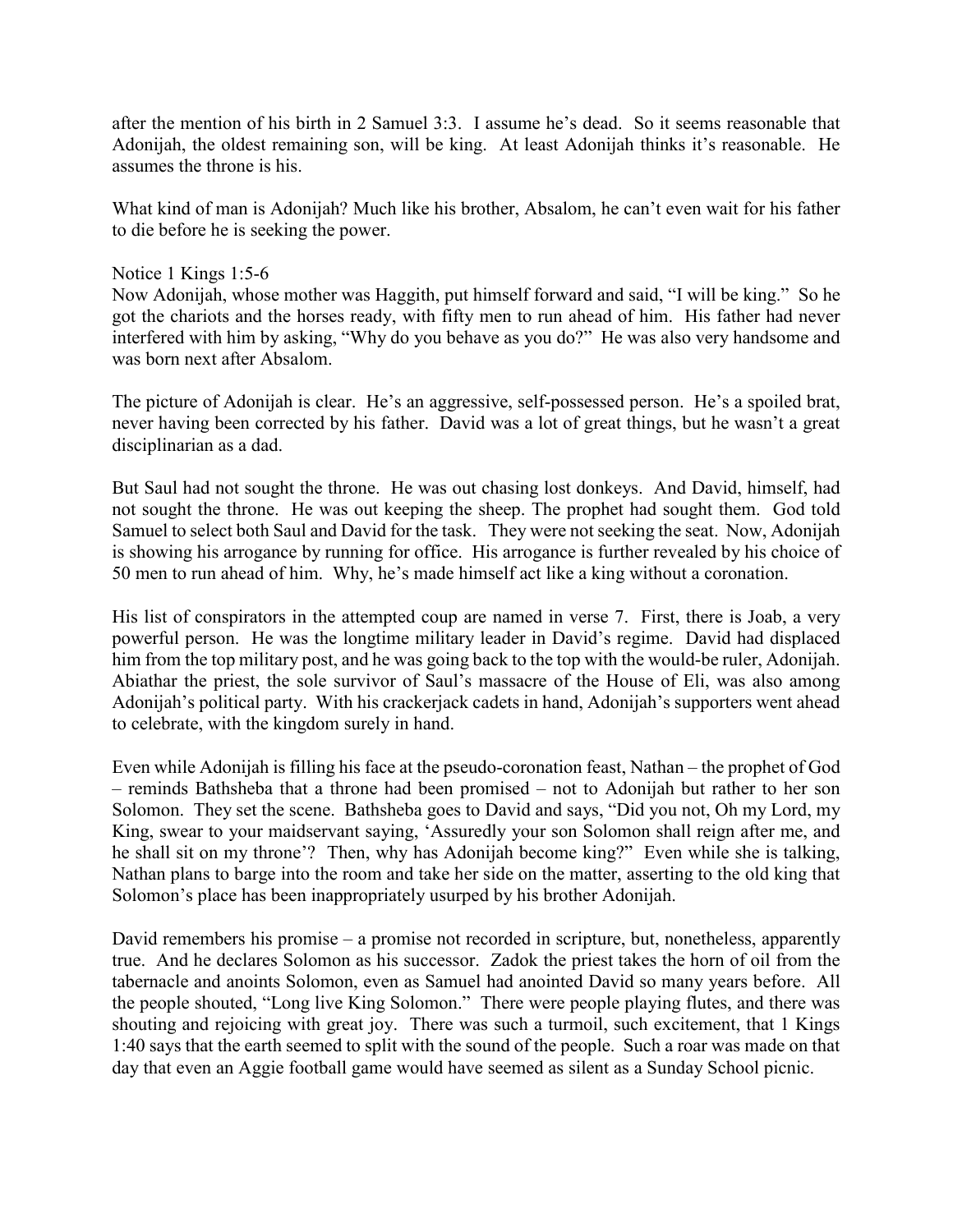after the mention of his birth in 2 Samuel 3:3. I assume he's dead. So it seems reasonable that Adonijah, the oldest remaining son, will be king. At least Adonijah thinks it's reasonable. He assumes the throne is his.

What kind of man is Adonijah? Much like his brother, Absalom, he can't even wait for his father to die before he is seeking the power.

## Notice 1 Kings 1:5-6

Now Adonijah, whose mother was Haggith, put himself forward and said, "I will be king." So he got the chariots and the horses ready, with fifty men to run ahead of him. His father had never interfered with him by asking, "Why do you behave as you do?" He was also very handsome and was born next after Absalom.

The picture of Adonijah is clear. He's an aggressive, self-possessed person. He's a spoiled brat, never having been corrected by his father. David was a lot of great things, but he wasn't a great disciplinarian as a dad.

But Saul had not sought the throne. He was out chasing lost donkeys. And David, himself, had not sought the throne. He was out keeping the sheep. The prophet had sought them. God told Samuel to select both Saul and David for the task. They were not seeking the seat. Now, Adonijah is showing his arrogance by running for office. His arrogance is further revealed by his choice of 50 men to run ahead of him. Why, he's made himself act like a king without a coronation.

His list of conspirators in the attempted coup are named in verse 7. First, there is Joab, a very powerful person. He was the longtime military leader in David's regime. David had displaced him from the top military post, and he was going back to the top with the would-be ruler, Adonijah. Abiathar the priest, the sole survivor of Saul's massacre of the House of Eli, was also among Adonijah's political party. With his crackerjack cadets in hand, Adonijah's supporters went ahead to celebrate, with the kingdom surely in hand.

Even while Adonijah is filling his face at the pseudo-coronation feast, Nathan – the prophet of God – reminds Bathsheba that a throne had been promised – not to Adonijah but rather to her son Solomon. They set the scene. Bathsheba goes to David and says, "Did you not, Oh my Lord, my King, swear to your maidservant saying, 'Assuredly your son Solomon shall reign after me, and he shall sit on my throne'? Then, why has Adonijah become king?" Even while she is talking, Nathan plans to barge into the room and take her side on the matter, asserting to the old king that Solomon's place has been inappropriately usurped by his brother Adonijah.

David remembers his promise – a promise not recorded in scripture, but, nonetheless, apparently true. And he declares Solomon as his successor. Zadok the priest takes the horn of oil from the tabernacle and anoints Solomon, even as Samuel had anointed David so many years before. All the people shouted, "Long live King Solomon." There were people playing flutes, and there was shouting and rejoicing with great joy. There was such a turmoil, such excitement, that 1 Kings 1:40 says that the earth seemed to split with the sound of the people. Such a roar was made on that day that even an Aggie football game would have seemed as silent as a Sunday School picnic.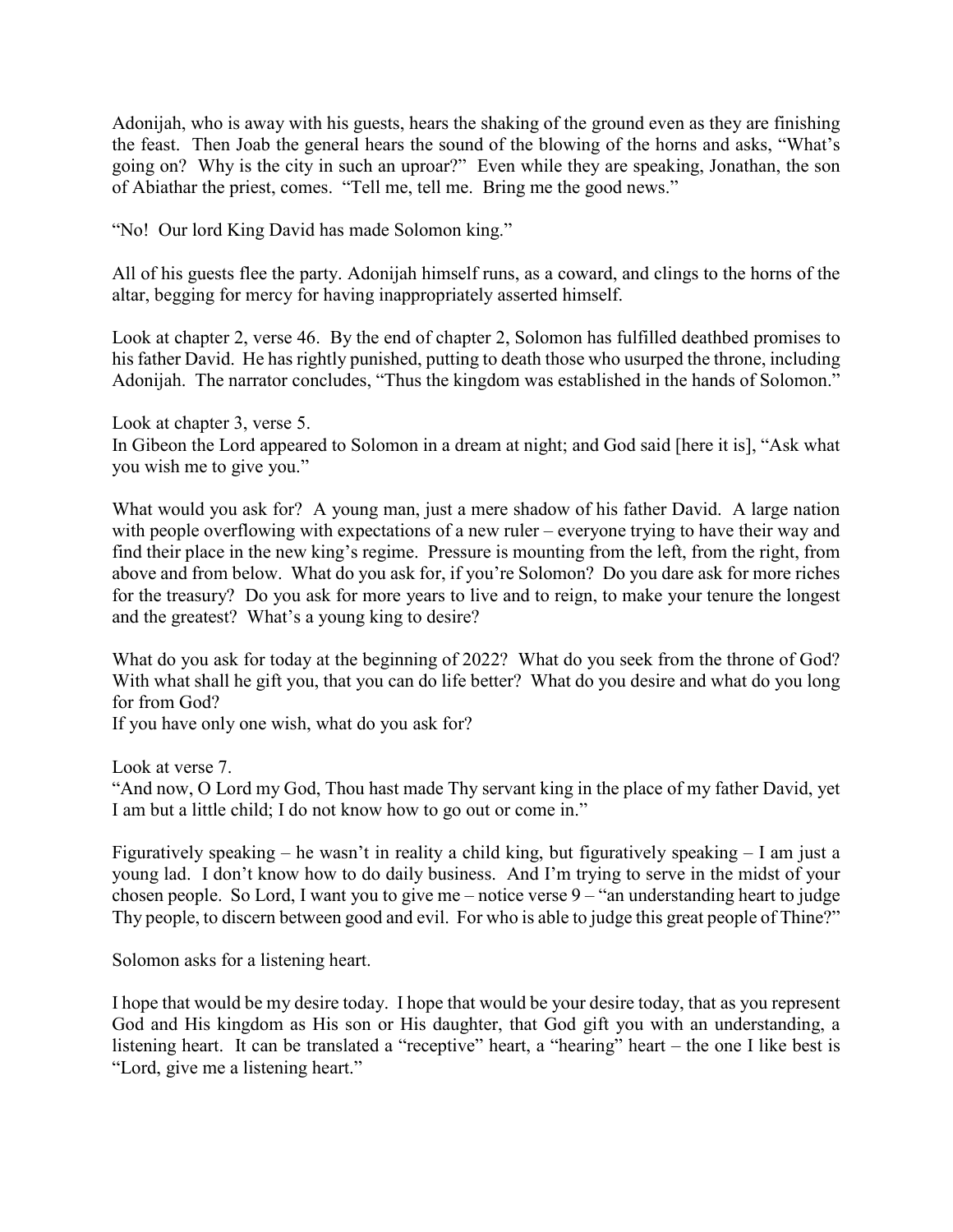Adonijah, who is away with his guests, hears the shaking of the ground even as they are finishing the feast. Then Joab the general hears the sound of the blowing of the horns and asks, "What's going on? Why is the city in such an uproar?" Even while they are speaking, Jonathan, the son of Abiathar the priest, comes. "Tell me, tell me. Bring me the good news."

"No! Our lord King David has made Solomon king."

All of his guests flee the party. Adonijah himself runs, as a coward, and clings to the horns of the altar, begging for mercy for having inappropriately asserted himself.

Look at chapter 2, verse 46. By the end of chapter 2, Solomon has fulfilled deathbed promises to his father David. He has rightly punished, putting to death those who usurped the throne, including Adonijah. The narrator concludes, "Thus the kingdom was established in the hands of Solomon."

Look at chapter 3, verse 5. In Gibeon the Lord appeared to Solomon in a dream at night; and God said [here it is], "Ask what you wish me to give you."

What would you ask for? A young man, just a mere shadow of his father David. A large nation with people overflowing with expectations of a new ruler – everyone trying to have their way and find their place in the new king's regime. Pressure is mounting from the left, from the right, from above and from below. What do you ask for, if you're Solomon? Do you dare ask for more riches for the treasury? Do you ask for more years to live and to reign, to make your tenure the longest and the greatest? What's a young king to desire?

What do you ask for today at the beginning of 2022? What do you seek from the throne of God? With what shall he gift you, that you can do life better? What do you desire and what do you long for from God?

If you have only one wish, what do you ask for?

Look at verse 7.

"And now, O Lord my God, Thou hast made Thy servant king in the place of my father David, yet I am but a little child; I do not know how to go out or come in."

Figuratively speaking – he wasn't in reality a child king, but figuratively speaking – I am just a young lad. I don't know how to do daily business. And I'm trying to serve in the midst of your chosen people. So Lord, I want you to give me – notice verse 9 – "an understanding heart to judge Thy people, to discern between good and evil. For who is able to judge this great people of Thine?"

Solomon asks for a listening heart.

I hope that would be my desire today. I hope that would be your desire today, that as you represent God and His kingdom as His son or His daughter, that God gift you with an understanding, a listening heart. It can be translated a "receptive" heart, a "hearing" heart – the one I like best is "Lord, give me a listening heart."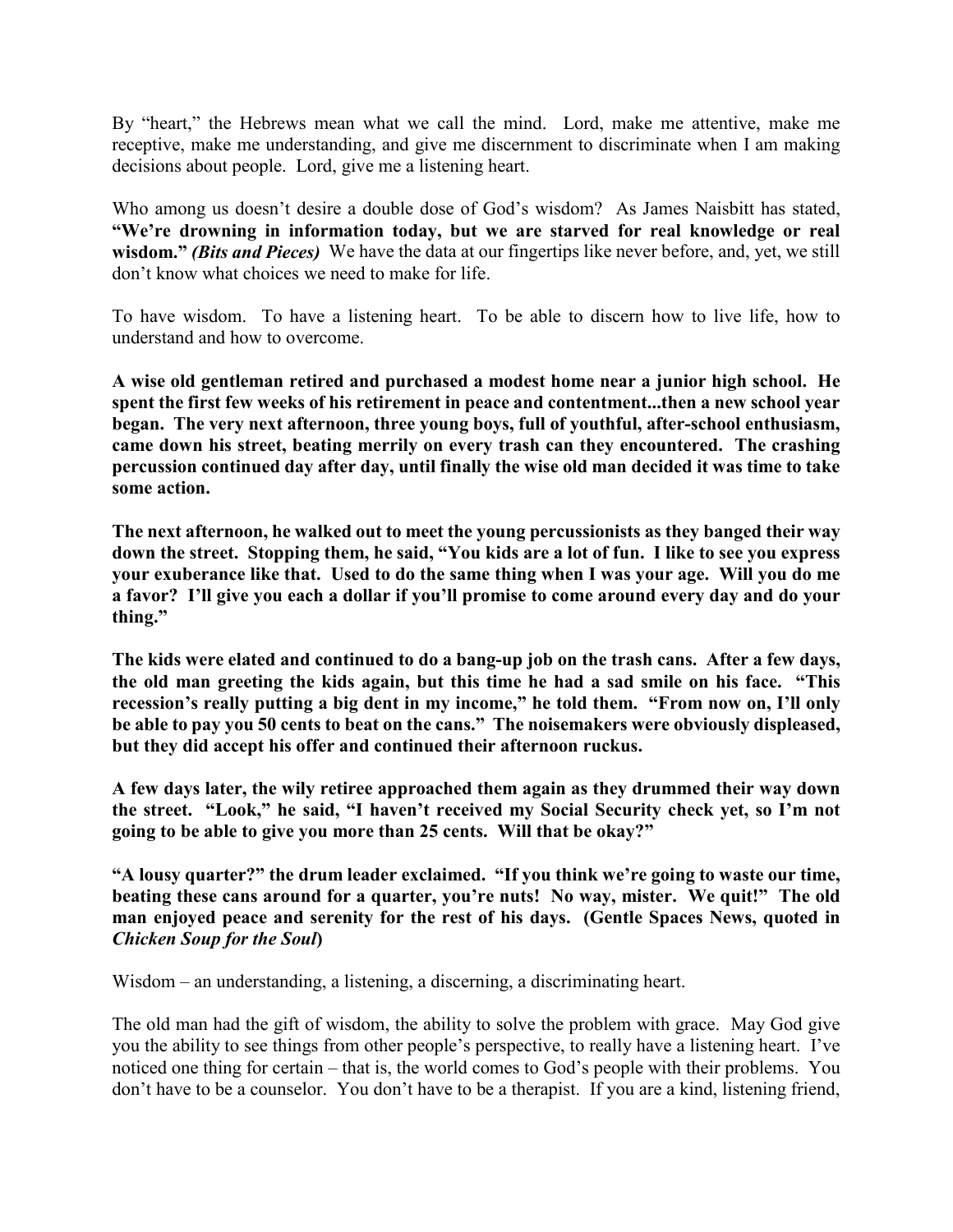By "heart," the Hebrews mean what we call the mind. Lord, make me attentive, make me receptive, make me understanding, and give me discernment to discriminate when I am making decisions about people. Lord, give me a listening heart.

Who among us doesn't desire a double dose of God's wisdom? As James Naisbitt has stated, **"We're drowning in information today, but we are starved for real knowledge or real wisdom."** *(Bits and Pieces)* We have the data at our fingertips like never before, and, yet, we still don't know what choices we need to make for life.

To have wisdom. To have a listening heart. To be able to discern how to live life, how to understand and how to overcome.

**A wise old gentleman retired and purchased a modest home near a junior high school. He spent the first few weeks of his retirement in peace and contentment...then a new school year began. The very next afternoon, three young boys, full of youthful, after-school enthusiasm, came down his street, beating merrily on every trash can they encountered. The crashing percussion continued day after day, until finally the wise old man decided it was time to take some action.**

**The next afternoon, he walked out to meet the young percussionists as they banged their way down the street. Stopping them, he said, "You kids are a lot of fun. I like to see you express your exuberance like that. Used to do the same thing when I was your age. Will you do me a favor? I'll give you each a dollar if you'll promise to come around every day and do your thing."**

**The kids were elated and continued to do a bang-up job on the trash cans. After a few days, the old man greeting the kids again, but this time he had a sad smile on his face. "This recession's really putting a big dent in my income," he told them. "From now on, I'll only be able to pay you 50 cents to beat on the cans." The noisemakers were obviously displeased, but they did accept his offer and continued their afternoon ruckus.**

**A few days later, the wily retiree approached them again as they drummed their way down the street. "Look," he said, "I haven't received my Social Security check yet, so I'm not going to be able to give you more than 25 cents. Will that be okay?"**

**"A lousy quarter?" the drum leader exclaimed. "If you think we're going to waste our time, beating these cans around for a quarter, you're nuts! No way, mister. We quit!" The old man enjoyed peace and serenity for the rest of his days. (Gentle Spaces News, quoted in**  *Chicken Soup for the Soul***)**

Wisdom – an understanding, a listening, a discerning, a discriminating heart.

The old man had the gift of wisdom, the ability to solve the problem with grace. May God give you the ability to see things from other people's perspective, to really have a listening heart. I've noticed one thing for certain – that is, the world comes to God's people with their problems. You don't have to be a counselor. You don't have to be a therapist. If you are a kind, listening friend,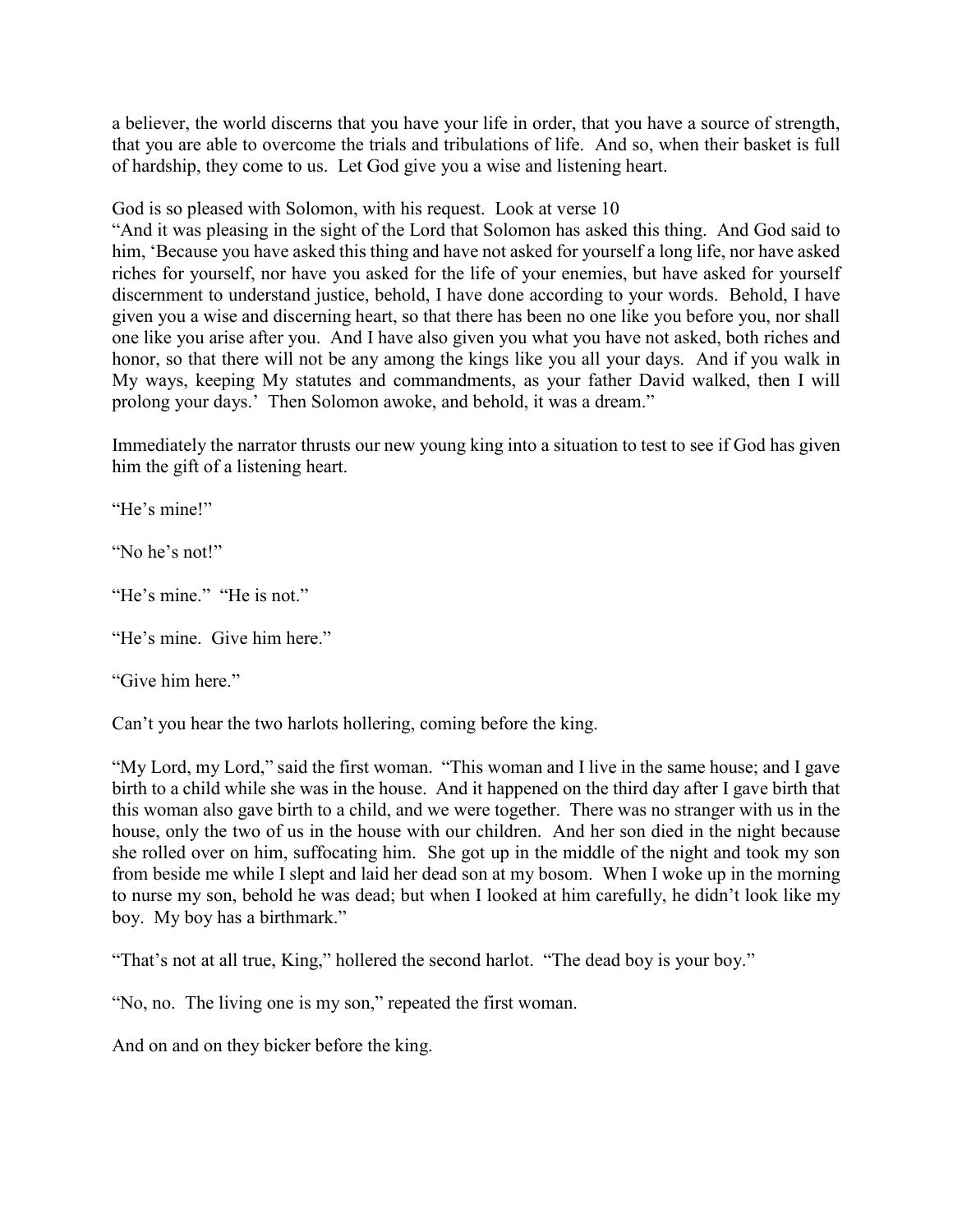a believer, the world discerns that you have your life in order, that you have a source of strength, that you are able to overcome the trials and tribulations of life. And so, when their basket is full of hardship, they come to us. Let God give you a wise and listening heart.

God is so pleased with Solomon, with his request. Look at verse 10

"And it was pleasing in the sight of the Lord that Solomon has asked this thing. And God said to him, 'Because you have asked this thing and have not asked for yourself a long life, nor have asked riches for yourself, nor have you asked for the life of your enemies, but have asked for yourself discernment to understand justice, behold, I have done according to your words. Behold, I have given you a wise and discerning heart, so that there has been no one like you before you, nor shall one like you arise after you. And I have also given you what you have not asked, both riches and honor, so that there will not be any among the kings like you all your days. And if you walk in My ways, keeping My statutes and commandments, as your father David walked, then I will prolong your days.' Then Solomon awoke, and behold, it was a dream."

Immediately the narrator thrusts our new young king into a situation to test to see if God has given him the gift of a listening heart.

"He's mine!"

"No he's not!"

"He's mine." "He is not."

"He's mine. Give him here."

"Give him here."

Can't you hear the two harlots hollering, coming before the king.

"My Lord, my Lord," said the first woman. "This woman and I live in the same house; and I gave birth to a child while she was in the house. And it happened on the third day after I gave birth that this woman also gave birth to a child, and we were together. There was no stranger with us in the house, only the two of us in the house with our children. And her son died in the night because she rolled over on him, suffocating him. She got up in the middle of the night and took my son from beside me while I slept and laid her dead son at my bosom. When I woke up in the morning to nurse my son, behold he was dead; but when I looked at him carefully, he didn't look like my boy. My boy has a birthmark."

"That's not at all true, King," hollered the second harlot. "The dead boy is your boy."

"No, no. The living one is my son," repeated the first woman.

And on and on they bicker before the king.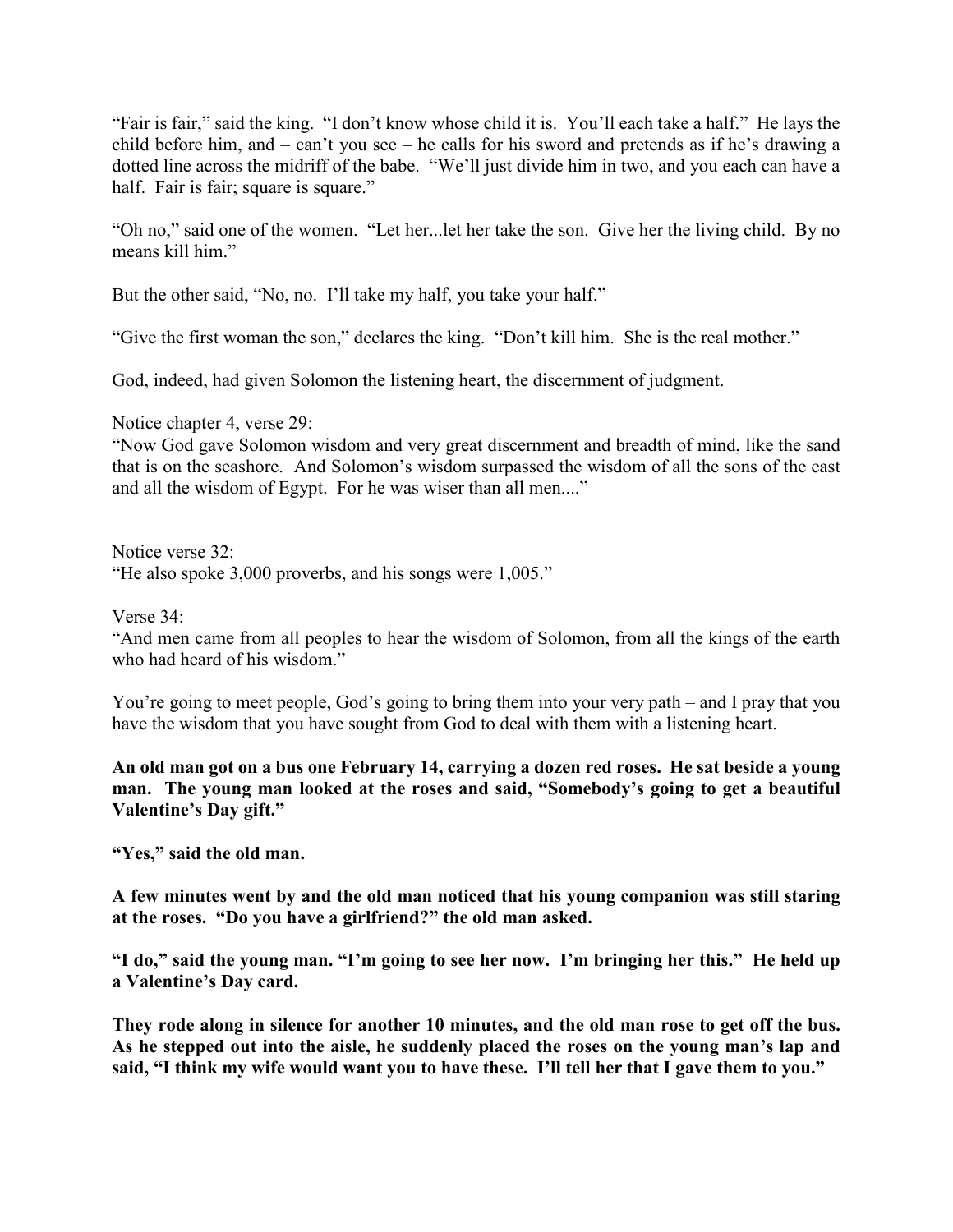"Fair is fair," said the king. "I don't know whose child it is. You'll each take a half." He lays the child before him, and – can't you see – he calls for his sword and pretends as if he's drawing a dotted line across the midriff of the babe. "We'll just divide him in two, and you each can have a half. Fair is fair; square is square."

"Oh no," said one of the women. "Let her...let her take the son. Give her the living child. By no means kill him."

But the other said, "No, no. I'll take my half, you take your half."

"Give the first woman the son," declares the king. "Don't kill him. She is the real mother."

God, indeed, had given Solomon the listening heart, the discernment of judgment.

Notice chapter 4, verse 29:

"Now God gave Solomon wisdom and very great discernment and breadth of mind, like the sand that is on the seashore. And Solomon's wisdom surpassed the wisdom of all the sons of the east and all the wisdom of Egypt. For he was wiser than all men...."

Notice verse 32: "He also spoke 3,000 proverbs, and his songs were 1,005."

Verse 34:

"And men came from all peoples to hear the wisdom of Solomon, from all the kings of the earth who had heard of his wisdom."

You're going to meet people, God's going to bring them into your very path – and I pray that you have the wisdom that you have sought from God to deal with them with a listening heart.

**An old man got on a bus one February 14, carrying a dozen red roses. He sat beside a young man. The young man looked at the roses and said, "Somebody's going to get a beautiful Valentine's Day gift."**

**"Yes," said the old man.**

**A few minutes went by and the old man noticed that his young companion was still staring at the roses. "Do you have a girlfriend?" the old man asked.**

**"I do," said the young man. "I'm going to see her now. I'm bringing her this." He held up a Valentine's Day card.**

**They rode along in silence for another 10 minutes, and the old man rose to get off the bus. As he stepped out into the aisle, he suddenly placed the roses on the young man's lap and said, "I think my wife would want you to have these. I'll tell her that I gave them to you."**